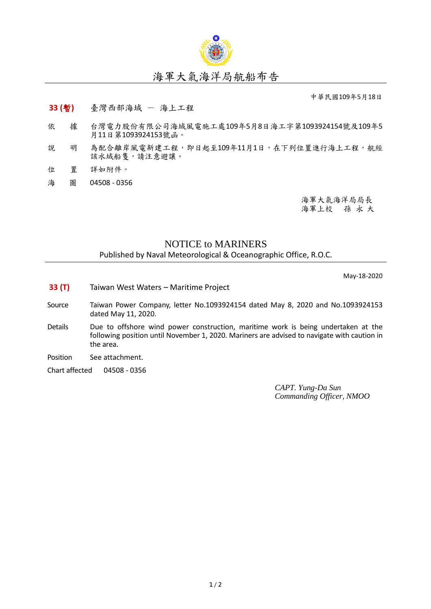

## 海軍大氣海洋局航船布告

中華民國109年5月18日

- **33 (**暫**)** 臺灣西部海域 海上工程
- 依 據 台灣電力股份有限公司海域風電施工處109年5月8日海工字第1093924154號及109年5 月11日第1093924153號函。
- 說 明 為配合離岸風電新建工程,即日起至109年11月1日,在下列位置進行海上工程,航經 該水域船隻,請注意避讓。
- 位 置 詳如附件。
- 海 圖 04508 0356

海軍大氣海洋局局長 海軍上校 孫 永 大

## NOTICE to MARINERS

Published by Naval Meteorological & Oceanographic Office, R.O.C.

May-18-2020

- **33 (T)** Taiwan West Waters Maritime Project
- Source Taiwan Power Company, letter No.1093924154 dated May 8, 2020 and No.1093924153 dated May 11, 2020.
- Details Due to offshore wind power construction, maritime work is being undertaken at the following position until November 1, 2020. Mariners are advised to navigate with caution in the area.
- Position See attachment.
- Chart affected 04508 0356

*CAPT. Yung-Da Sun Commanding Officer, NMOO*